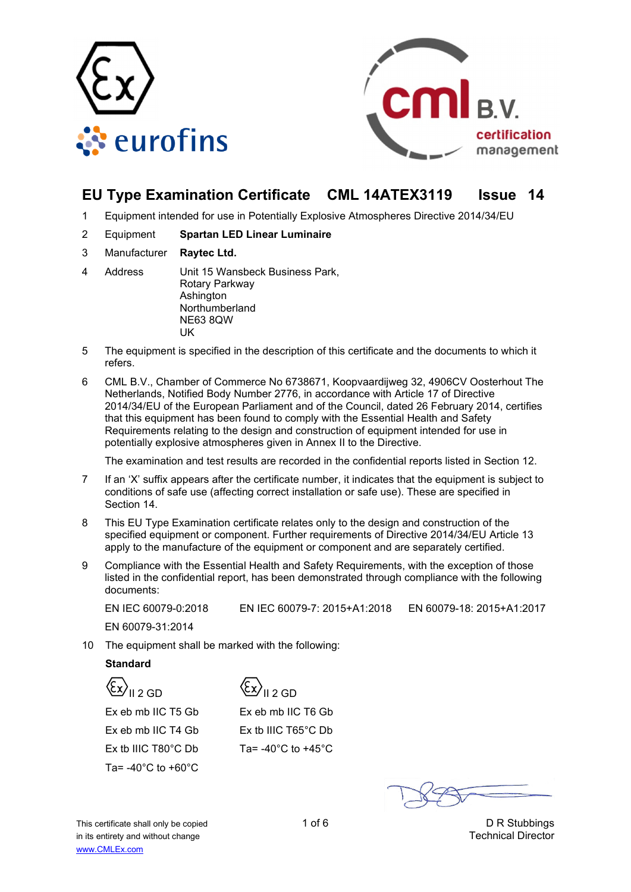



# **EU Type Examination Certificate CML 14ATEX3119 Issue 14**

- 1 Equipment intended for use in Potentially Explosive Atmospheres Directive 2014/34/EU
- 2 Equipment **Spartan LED Linear Luminaire**
- 3 Manufacturer **Raytec Ltd.**
- 4 Address Unit 15 Wansbeck Business Park, Rotary Parkway Ashington Northumberland NE63 8QW **IK**
- 5 The equipment is specified in the description of this certificate and the documents to which it refers.
- 6 CML B.V., Chamber of Commerce No 6738671, Koopvaardijweg 32, 4906CV Oosterhout The Netherlands, Notified Body Number 2776, in accordance with Article 17 of Directive 2014/34/EU of the European Parliament and of the Council, dated 26 February 2014, certifies that this equipment has been found to comply with the Essential Health and Safety Requirements relating to the design and construction of equipment intended for use in potentially explosive atmospheres given in Annex II to the Directive.

The examination and test results are recorded in the confidential reports listed in Section 12.

- 7 If an 'X' suffix appears after the certificate number, it indicates that the equipment is subject to conditions of safe use (affecting correct installation or safe use). These are specified in Section 14.
- 8 This EU Type Examination certificate relates only to the design and construction of the specified equipment or component. Further requirements of Directive 2014/34/EU Article 13 apply to the manufacture of the equipment or component and are separately certified.
- 9 Compliance with the Essential Health and Safety Requirements, with the exception of those listed in the confidential report, has been demonstrated through compliance with the following documents:

EN IEC 60079-0:2018 EN IEC 60079-7: 2015+A1:2018 EN 60079-18: 2015+A1:2017

EN 60079-31:2014

10 The equipment shall be marked with the following:

## **Standard**

 $\langle \overline{\xi}_x \rangle$ <sub>II 2 GD</sub>

Ex eb mb IIC T5 Gb Ex eb mb IIC T4 Gb Ex tb IIIC T80°C Db Ta= -40°C to +60°C

 $\langle \overline{\xi_x} \rangle$ <sub>II 2 GD</sub>

Ex eb mb IIC T6 Gb Ex tb IIIC T65°C Db Ta= $-40^{\circ}$ C to  $+45^{\circ}$ C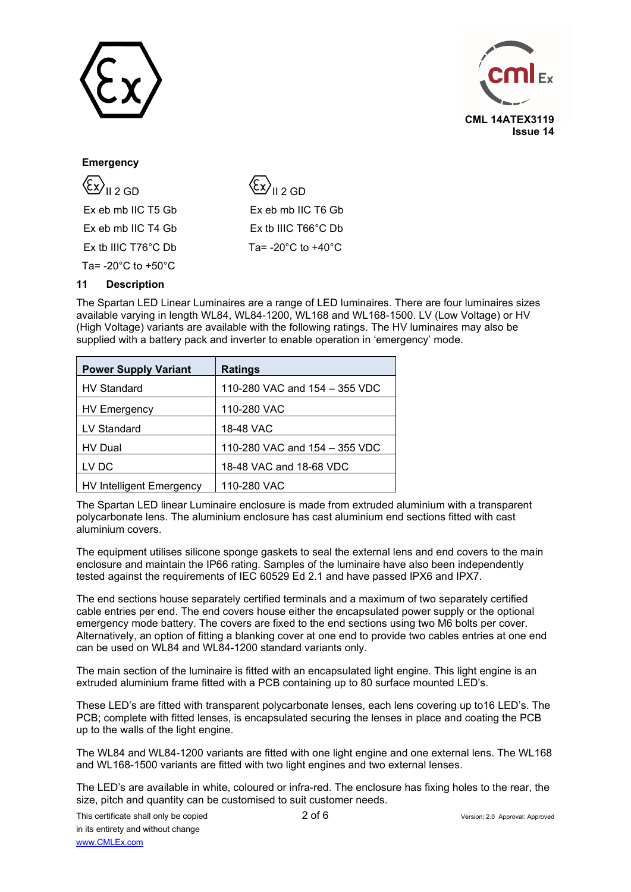



## **Emergency**

| $\langle \xi x \rangle$ <sub>II 2 GD</sub> |
|--------------------------------------------|
| Ex eb mb IIC T5 Gb                         |
| Ex eb mb IIC T4 Gb                         |
| $Ex$ tb IIIC T76 $^{\circ}$ C Db           |
| Ta= $-20^{\circ}$ C to $+50^{\circ}$ C     |

 $\langle \overline{\xi_x} \rangle$ <sub>II 2 GD</sub> Ex eb mb IIC T6 Gb Ex tb IIIC T66°C Db Ta= -20°C to +40°C

## **11 Description**

The Spartan LED Linear Luminaires are a range of LED luminaires. There are four luminaires sizes available varying in length WL84, WL84-1200, WL168 and WL168-1500. LV (Low Voltage) or HV (High Voltage) variants are available with the following ratings. The HV luminaires may also be supplied with a battery pack and inverter to enable operation in 'emergency' mode.

| <b>Power Supply Variant</b>     | <b>Ratings</b>                |
|---------------------------------|-------------------------------|
| <b>HV Standard</b>              | 110-280 VAC and 154 - 355 VDC |
| <b>HV Emergency</b>             | 110-280 VAC                   |
| LV Standard                     | 18-48 VAC                     |
| HV Dual                         | 110-280 VAC and 154 - 355 VDC |
| LV DC                           | 18-48 VAC and 18-68 VDC       |
| <b>HV Intelligent Emergency</b> | 110-280 VAC                   |

The Spartan LED linear Luminaire enclosure is made from extruded aluminium with a transparent polycarbonate lens. The aluminium enclosure has cast aluminium end sections fitted with cast aluminium covers.

The equipment utilises silicone sponge gaskets to seal the external lens and end covers to the main enclosure and maintain the IP66 rating. Samples of the luminaire have also been independently tested against the requirements of IEC 60529 Ed 2.1 and have passed IPX6 and IPX7.

The end sections house separately certified terminals and a maximum of two separately certified cable entries per end. The end covers house either the encapsulated power supply or the optional emergency mode battery. The covers are fixed to the end sections using two M6 bolts per cover. Alternatively, an option of fitting a blanking cover at one end to provide two cables entries at one end can be used on WL84 and WL84-1200 standard variants only.

The main section of the luminaire is fitted with an encapsulated light engine. This light engine is an extruded aluminium frame fitted with a PCB containing up to 80 surface mounted LED's.

These LED's are fitted with transparent polycarbonate lenses, each lens covering up to16 LED's. The PCB; complete with fitted lenses, is encapsulated securing the lenses in place and coating the PCB up to the walls of the light engine.

The WL84 and WL84-1200 variants are fitted with one light engine and one external lens. The WL168 and WL168-1500 variants are fitted with two light engines and two external lenses.

The LED's are available in white, coloured or infra-red. The enclosure has fixing holes to the rear, the size, pitch and quantity can be customised to suit customer needs.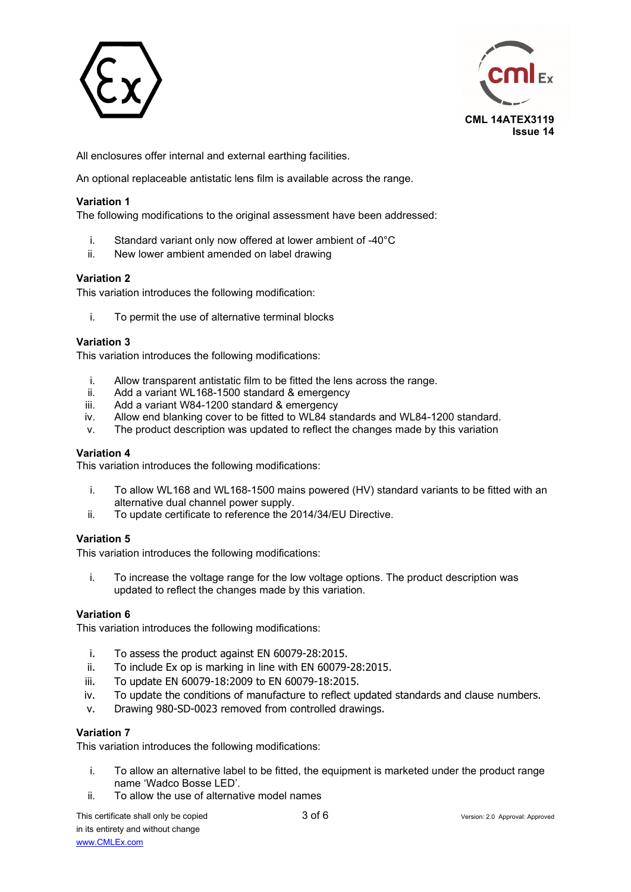



All enclosures offer internal and external earthing facilities.

An optional replaceable antistatic lens film is available across the range.

## **Variation 1**

The following modifications to the original assessment have been addressed:

- i. Standard variant only now offered at lower ambient of -40°C
- ii. New lower ambient amended on label drawing

#### **Variation 2**

This variation introduces the following modification:

i. To permit the use of alternative terminal blocks

## **Variation 3**

This variation introduces the following modifications:

- i. Allow transparent antistatic film to be fitted the lens across the range.
- ii. Add a variant WL168-1500 standard & emergency<br>iii. Add a variant W84-1200 standard & emergency
- Add a variant W84-1200 standard & emergency
- iv. Allow end blanking cover to be fitted to WL84 standards and WL84-1200 standard.
- v. The product description was updated to reflect the changes made by this variation

## **Variation 4**

This variation introduces the following modifications:

- i. To allow WL168 and WL168-1500 mains powered (HV) standard variants to be fitted with an alternative dual channel power supply.
- ii. To update certificate to reference the 2014/34/EU Directive.

## **Variation 5**

This variation introduces the following modifications:

i. To increase the voltage range for the low voltage options. The product description was updated to reflect the changes made by this variation.

## **Variation 6**

This variation introduces the following modifications:

- i. To assess the product against EN 60079-28:2015.
- ii. To include Ex op is marking in line with EN 60079-28:2015.
- iii. To update EN 60079-18:2009 to EN 60079-18:2015.
- iv. To update the conditions of manufacture to reflect updated standards and clause numbers.
- v. Drawing 980-SD-0023 removed from controlled drawings.

## **Variation 7**

This variation introduces the following modifications:

- i. To allow an alternative label to be fitted, the equipment is marketed under the product range name 'Wadco Bosse LED'.
- ii. To allow the use of alternative model names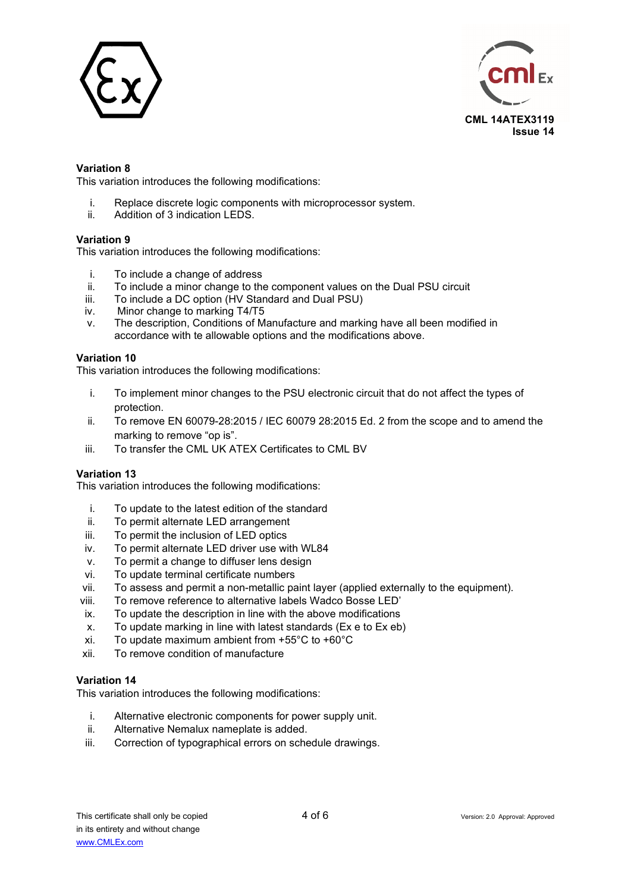



## **Variation 8**

This variation introduces the following modifications:

- i. Replace discrete logic components with microprocessor system.<br>ii Addition of 3 indication LEDS
- Addition of 3 indication LEDS.

## **Variation 9**

This variation introduces the following modifications:

- i. To include a change of address<br>ii. To include a minor change to the
- To include a minor change to the component values on the Dual PSU circuit
- iii. To include a DC option ( $\overline{HV}$  Standard and Dual PSU) iv Minor change to marking T4/T5
- Minor change to marking T4/T5
- v. The description, Conditions of Manufacture and marking have all been modified in accordance with te allowable options and the modifications above.

#### **Variation 10**

This variation introduces the following modifications:

- i. To implement minor changes to the PSU electronic circuit that do not affect the types of protection.
- ii. To remove EN 60079-28:2015 / IEC 60079 28:2015 Ed. 2 from the scope and to amend the marking to remove "op is".
- iii. To transfer the CML UK ATEX Certificates to CML BV

## **Variation 13**

This variation introduces the following modifications:

- i. To update to the latest edition of the standard
- ii. To permit alternate LED arrangement
- iii. To permit the inclusion of LED optics
- iv. To permit alternate LED driver use with WL84
- v. To permit a change to diffuser lens design
- vi. To update terminal certificate numbers
- vii. To assess and permit a non-metallic paint layer (applied externally to the equipment).
- viii. To remove reference to alternative labels Wadco Bosse LED'
- ix. To update the description in line with the above modifications
- x. To update marking in line with latest standards (Ex e to Ex eb)
- xi. To update maximum ambient from +55°C to +60°C
- xii. To remove condition of manufacture

## **Variation 14**

This variation introduces the following modifications:

- i. Alternative electronic components for power supply unit.
- ii. Alternative Nemalux nameplate is added.
- iii. Correction of typographical errors on schedule drawings.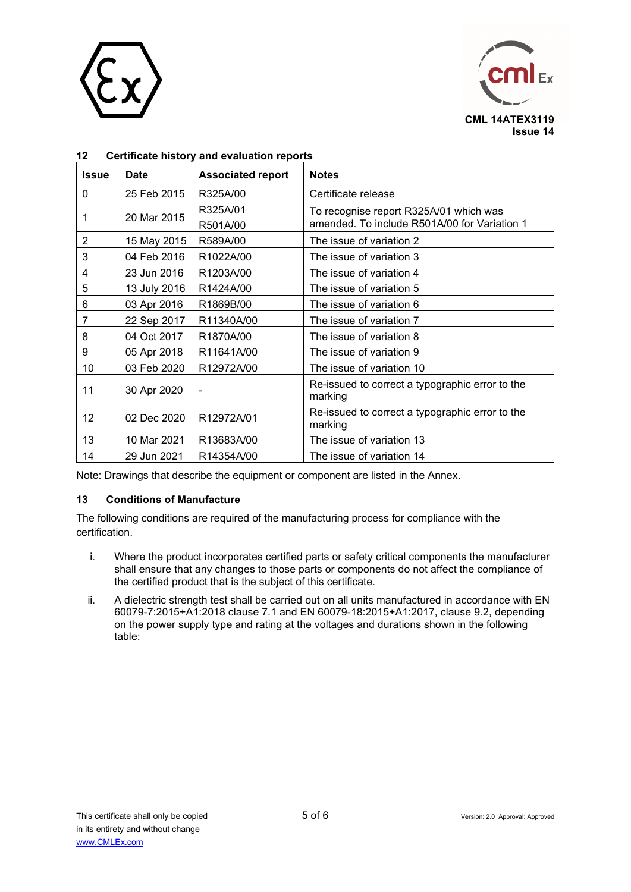



| <b>Issue</b>   | <b>Date</b>  | <b>Associated report</b> | <b>Notes</b>                                                                           |
|----------------|--------------|--------------------------|----------------------------------------------------------------------------------------|
| 0              | 25 Feb 2015  | R325A/00                 | Certificate release                                                                    |
| 1              | 20 Mar 2015  | R325A/01<br>R501A/00     | To recognise report R325A/01 which was<br>amended. To include R501A/00 for Variation 1 |
| $\overline{c}$ | 15 May 2015  | R589A/00                 | The issue of variation 2                                                               |
| 3              | 04 Feb 2016  | R1022A/00                | The issue of variation 3                                                               |
| 4              | 23 Jun 2016  | R1203A/00                | The issue of variation 4                                                               |
| 5              | 13 July 2016 | R1424A/00                | The issue of variation 5                                                               |
| 6              | 03 Apr 2016  | R1869B/00                | The issue of variation 6                                                               |
| 7              | 22 Sep 2017  | R11340A/00               | The issue of variation 7                                                               |
| 8              | 04 Oct 2017  | R1870A/00                | The issue of variation 8                                                               |
| 9              | 05 Apr 2018  | R11641A/00               | The issue of variation 9                                                               |
| 10             | 03 Feb 2020  | R12972A/00               | The issue of variation 10                                                              |
| 11             | 30 Apr 2020  |                          | Re-issued to correct a typographic error to the<br>marking                             |
| 12             | 02 Dec 2020  | R12972A/01               | Re-issued to correct a typographic error to the<br>marking                             |
| 13             | 10 Mar 2021  | R13683A/00               | The issue of variation 13                                                              |
| 14             | 29 Jun 2021  | R14354A/00               | The issue of variation 14                                                              |

# **12 Certificate history and evaluation reports**

Note: Drawings that describe the equipment or component are listed in the Annex.

# **13 Conditions of Manufacture**

The following conditions are required of the manufacturing process for compliance with the certification.

- i. Where the product incorporates certified parts or safety critical components the manufacturer shall ensure that any changes to those parts or components do not affect the compliance of the certified product that is the subject of this certificate.
- ii. A dielectric strength test shall be carried out on all units manufactured in accordance with EN 60079-7:2015+A1:2018 clause 7.1 and EN 60079-18:2015+A1:2017, clause 9.2, depending on the power supply type and rating at the voltages and durations shown in the following table: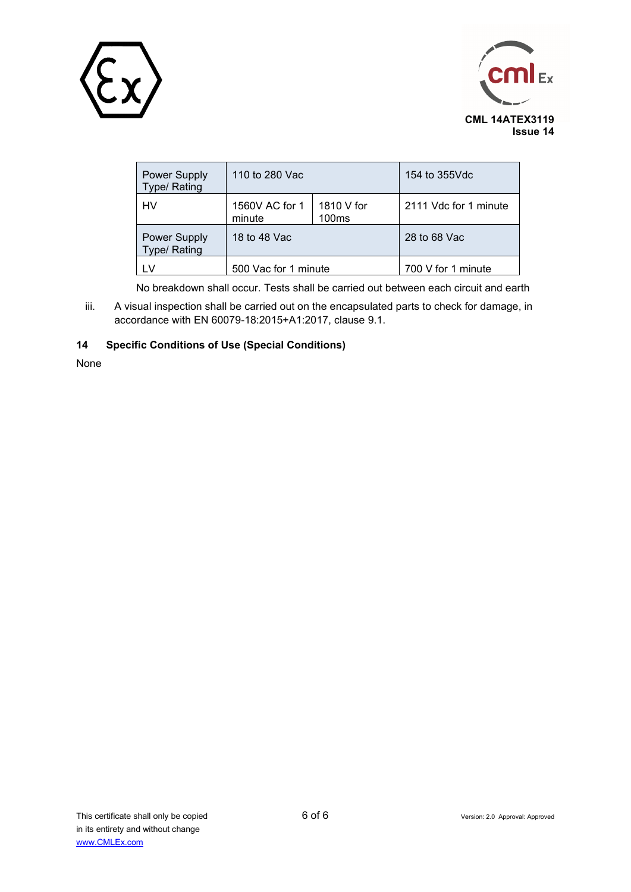



| <b>Power Supply</b><br><b>Type/Rating</b>  | 110 to 280 Vac           | 154 to 355Vdc                   |                       |
|--------------------------------------------|--------------------------|---------------------------------|-----------------------|
| HV                                         | 1560V AC for 1<br>minute | 1810 V for<br>100 <sub>ms</sub> | 2111 Vdc for 1 minute |
| <b>Power Supply</b><br><b>Type/ Rating</b> | 18 to 48 Vac             |                                 | 28 to 68 Vac          |
| LV.                                        | 500 Vac for 1 minute     |                                 | 700 V for 1 minute    |

No breakdown shall occur. Tests shall be carried out between each circuit and earth

iii. A visual inspection shall be carried out on the encapsulated parts to check for damage, in accordance with EN 60079-18:2015+A1:2017, clause 9.1.

# **14 Specific Conditions of Use (Special Conditions)**

None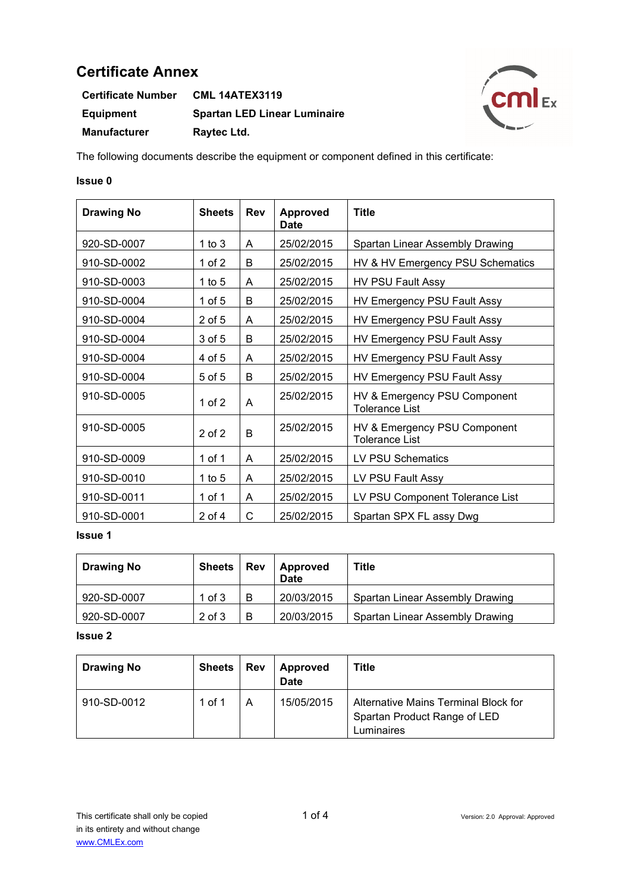| <b>Certificate Number</b> | <b>CML 14ATEX3119</b>               |
|---------------------------|-------------------------------------|
| <b>Equipment</b>          | <b>Spartan LED Linear Luminaire</b> |
| <b>Manufacturer</b>       | Raytec Ltd.                         |



The following documents describe the equipment or component defined in this certificate:

# **Issue 0**

| <b>Drawing No</b> | <b>Sheets</b> | <b>Rev</b> | <b>Approved</b><br><b>Date</b> | <b>Title</b>                                          |
|-------------------|---------------|------------|--------------------------------|-------------------------------------------------------|
| 920-SD-0007       | 1 to $3$      | A          | 25/02/2015                     | Spartan Linear Assembly Drawing                       |
| 910-SD-0002       | 1 of $2$      | B          | 25/02/2015                     | HV & HV Emergency PSU Schematics                      |
| 910-SD-0003       | 1 to $5$      | A          | 25/02/2015                     | <b>HV PSU Fault Assy</b>                              |
| 910-SD-0004       | 1 of 5        | B          | 25/02/2015                     | HV Emergency PSU Fault Assy                           |
| 910-SD-0004       | 2 of 5        | A          | 25/02/2015                     | HV Emergency PSU Fault Assy                           |
| 910-SD-0004       | $3$ of $5$    | B          | 25/02/2015                     | HV Emergency PSU Fault Assy                           |
| 910-SD-0004       | 4 of 5        | A          | 25/02/2015                     | HV Emergency PSU Fault Assy                           |
| 910-SD-0004       | $5$ of $5$    | B          | 25/02/2015                     | HV Emergency PSU Fault Assy                           |
| 910-SD-0005       | 1 of $2$      | A          | 25/02/2015                     | HV & Emergency PSU Component<br><b>Tolerance List</b> |
| 910-SD-0005       | $2$ of $2$    | B          | 25/02/2015                     | HV & Emergency PSU Component<br><b>Tolerance List</b> |
| 910-SD-0009       | 1 of 1        | A          | 25/02/2015                     | <b>LV PSU Schematics</b>                              |
| 910-SD-0010       | 1 to $5$      | A          | 25/02/2015                     | LV PSU Fault Assy                                     |
| 910-SD-0011       | 1 of 1        | A          | 25/02/2015                     | LV PSU Component Tolerance List                       |
| 910-SD-0001       | $2$ of 4      | C          | 25/02/2015                     | Spartan SPX FL assy Dwg                               |

# **Issue 1**

| <b>Drawing No</b> | Sheets     | <b>Rev</b> | <b>Approved</b><br>Date | <b>Title</b>                    |
|-------------------|------------|------------|-------------------------|---------------------------------|
| 920-SD-0007       | 1 of $3$   | B          | 20/03/2015              | Spartan Linear Assembly Drawing |
| 920-SD-0007       | $2$ of $3$ | B          | 20/03/2015              | Spartan Linear Assembly Drawing |

| <b>Drawing No</b> | <b>Sheets</b> | <b>Rev</b> | <b>Approved</b><br><b>Date</b> | Title                                                                              |
|-------------------|---------------|------------|--------------------------------|------------------------------------------------------------------------------------|
| 910-SD-0012       | 1 of 1        |            | 15/05/2015                     | Alternative Mains Terminal Block for<br>Spartan Product Range of LED<br>Luminaires |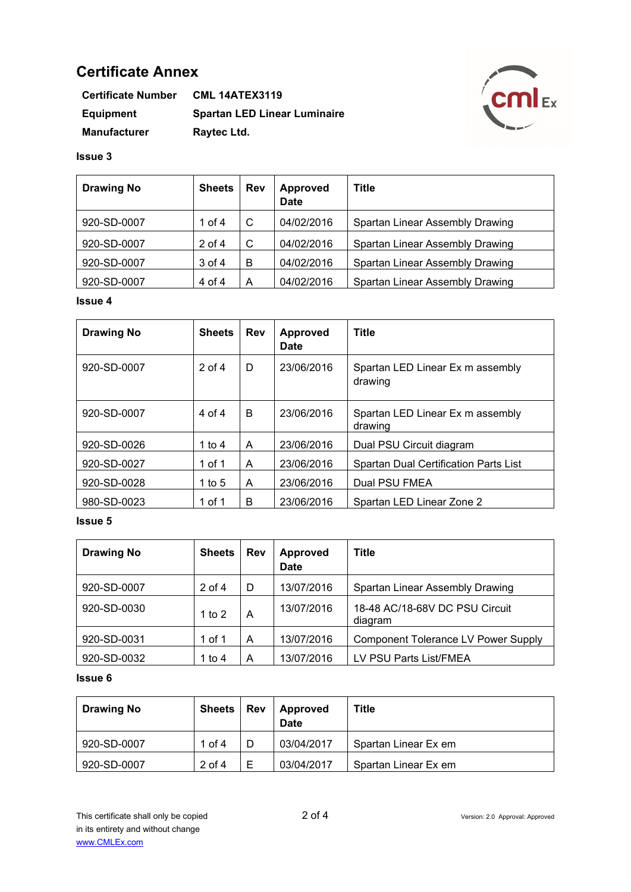| <b>Certificate Number</b> | <b>CML 14ATEX3119</b>               |
|---------------------------|-------------------------------------|
| <b>Equipment</b>          | <b>Spartan LED Linear Luminaire</b> |
| <b>Manufacturer</b>       | Raytec Ltd.                         |



## **Issue 3**

| <b>Drawing No</b> | <b>Sheets</b> | <b>Rev</b> | Approved<br><b>Date</b> | <b>Title</b>                    |
|-------------------|---------------|------------|-------------------------|---------------------------------|
| 920-SD-0007       | 1 of 4        | C          | 04/02/2016              | Spartan Linear Assembly Drawing |
| 920-SD-0007       | $2$ of 4      | C          | 04/02/2016              | Spartan Linear Assembly Drawing |
| 920-SD-0007       | 3 of 4        | В          | 04/02/2016              | Spartan Linear Assembly Drawing |
| 920-SD-0007       | 4 of 4        | А          | 04/02/2016              | Spartan Linear Assembly Drawing |

## **Issue 4**

| <b>Drawing No</b> | <b>Sheets</b> | <b>Rev</b> | <b>Approved</b><br><b>Date</b> | <b>Title</b>                                 |
|-------------------|---------------|------------|--------------------------------|----------------------------------------------|
| 920-SD-0007       | $2$ of $4$    | D          | 23/06/2016                     | Spartan LED Linear Ex m assembly<br>drawing  |
| 920-SD-0007       | $4$ of $4$    | B          | 23/06/2016                     | Spartan LED Linear Ex m assembly<br>drawing  |
| 920-SD-0026       | 1 to 4        | A          | 23/06/2016                     | Dual PSU Circuit diagram                     |
| 920-SD-0027       | 1 of 1        | A          | 23/06/2016                     | <b>Spartan Dual Certification Parts List</b> |
| 920-SD-0028       | 1 to $5$      | A          | 23/06/2016                     | Dual PSU FMEA                                |
| 980-SD-0023       | 1 of 1        | B          | 23/06/2016                     | Spartan LED Linear Zone 2                    |

## **Issue 5**

| <b>Drawing No</b> | <b>Sheets</b> | <b>Rev</b> | <b>Approved</b><br><b>Date</b> | <b>Title</b>                               |
|-------------------|---------------|------------|--------------------------------|--------------------------------------------|
| 920-SD-0007       | $2$ of 4      | D          | 13/07/2016                     | Spartan Linear Assembly Drawing            |
| 920-SD-0030       | 1 to 2        | A          | 13/07/2016                     | 18-48 AC/18-68V DC PSU Circuit<br>diagram  |
| 920-SD-0031       | 1 of 1        | A          | 13/07/2016                     | <b>Component Tolerance LV Power Supply</b> |
| 920-SD-0032       | 1 to 4        | A          | 13/07/2016                     | LV PSU Parts List/FMEA                     |

| <b>Drawing No</b> | <b>Sheets</b> | <b>Rev</b> | Approved<br><b>Date</b> | Title                |
|-------------------|---------------|------------|-------------------------|----------------------|
| 920-SD-0007       | 1 of 4        |            | 03/04/2017              | Spartan Linear Ex em |
| 920-SD-0007       | $2$ of 4      |            | 03/04/2017              | Spartan Linear Ex em |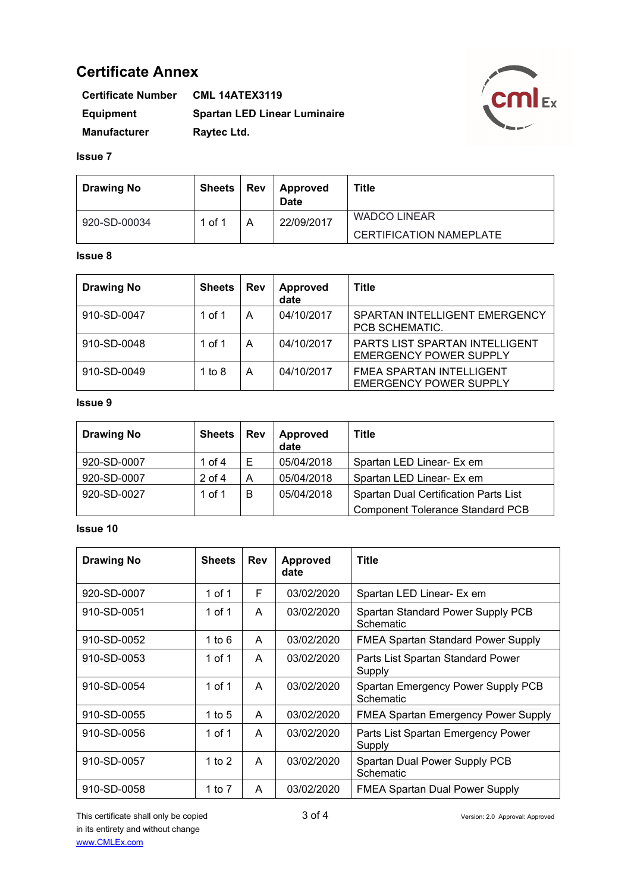| <b>Certificate Number</b> | <b>CML 14ATEX3119</b>               |
|---------------------------|-------------------------------------|
| <b>Equipment</b>          | <b>Spartan LED Linear Luminaire</b> |
| <b>Manufacturer</b>       | Raytec Ltd.                         |



#### **Issue 7**

| <b>Drawing No</b> | <b>Sheets</b> | <b>Rev</b> | Approved<br><b>Date</b> | Title                          |
|-------------------|---------------|------------|-------------------------|--------------------------------|
| 920-SD-00034      | 1 of 1        |            | 22/09/2017              | <b>WADCO LINEAR</b>            |
|                   |               |            |                         | <b>CERTIFICATION NAMEPLATE</b> |

#### **Issue 8**

| <b>Drawing No</b> | <b>Sheets</b> | Rev | Approved<br>date | Title                                                            |
|-------------------|---------------|-----|------------------|------------------------------------------------------------------|
| 910-SD-0047       | 1 of 1        | А   | 04/10/2017       | SPARTAN INTELLIGENT EMERGENCY<br>PCB SCHEMATIC.                  |
| 910-SD-0048       | 1 of 1        | A   | 04/10/2017       | PARTS LIST SPARTAN INTELLIGENT<br><b>EMERGENCY POWER SUPPLY</b>  |
| 910-SD-0049       | 1 to $8$      | A   | 04/10/2017       | <b>FMEA SPARTAN INTELLIGENT</b><br><b>EMERGENCY POWER SUPPLY</b> |

# **Issue 9**

| <b>Drawing No</b> | <b>Sheets</b> | <b>Rev</b> | <b>Approved</b><br>date | Title                                        |
|-------------------|---------------|------------|-------------------------|----------------------------------------------|
| 920-SD-0007       | 1 of 4        |            | 05/04/2018              | Spartan LED Linear- Ex em                    |
| 920-SD-0007       | $2$ of 4      | A          | 05/04/2018              | Spartan LED Linear- Ex em                    |
| 920-SD-0027       | 1 of 1        | в          | 05/04/2018              | <b>Spartan Dual Certification Parts List</b> |
|                   |               |            |                         | <b>Component Tolerance Standard PCB</b>      |

| <b>Drawing No</b> | <b>Sheets</b> | <b>Rev</b> | <b>Approved</b><br>date | <b>Title</b>                                    |
|-------------------|---------------|------------|-------------------------|-------------------------------------------------|
| 920-SD-0007       | 1 of 1        | F          | 03/02/2020              | Spartan LED Linear- Ex em                       |
| 910-SD-0051       | 1 of 1        | A          | 03/02/2020              | Spartan Standard Power Supply PCB<br>Schematic  |
| 910-SD-0052       | 1 to $6$      | A          | 03/02/2020              | <b>FMEA Spartan Standard Power Supply</b>       |
| 910-SD-0053       | 1 of 1        | A          | 03/02/2020              | Parts List Spartan Standard Power<br>Supply     |
| 910-SD-0054       | 1 of 1        | A          | 03/02/2020              | Spartan Emergency Power Supply PCB<br>Schematic |
| 910-SD-0055       | 1 to $5$      | A          | 03/02/2020              | <b>FMEA Spartan Emergency Power Supply</b>      |
| 910-SD-0056       | 1 of 1        | A          | 03/02/2020              | Parts List Spartan Emergency Power<br>Supply    |
| 910-SD-0057       | 1 to $2$      | A          | 03/02/2020              | Spartan Dual Power Supply PCB<br>Schematic      |
| 910-SD-0058       | 1 to $7$      | A          | 03/02/2020              | <b>FMEA Spartan Dual Power Supply</b>           |